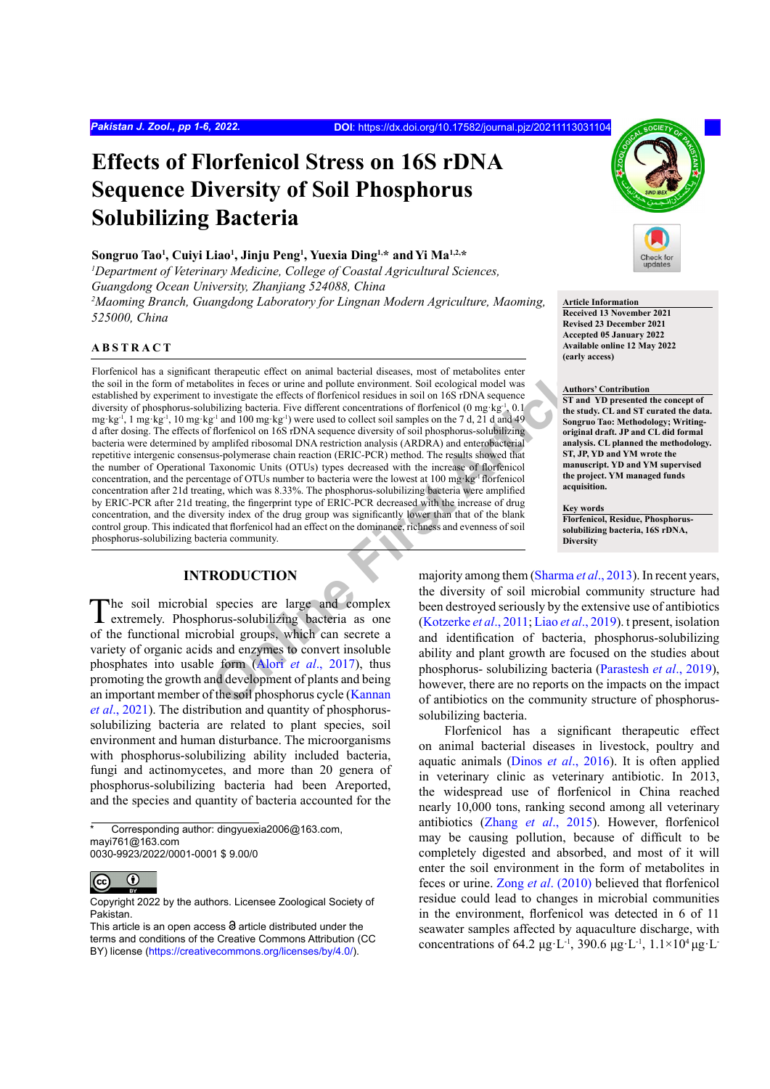# **Effects of Florfenicol Stress on 16S rDNA Sequence Diversity of Soil Phosphorus Solubilizing Bacteria**

#### **Songruo Tao1 , Cuiyi Liao1 , Jinju Peng1 , Yuexia Ding1,\* andYi Ma1,2,\***

<sup>1</sup>Department of Veterinary Medicine, College of Coastal Agricultural Sciences, *Guangdong Ocean University, Zhanjiang 524088, China*

<sup>2</sup> Maoming Branch, Guangdong Laboratory for Lingnan Modern Agriculture, Maoming, *525000, China*

## **ABSTRACT**

The therapeutic effect on animal bacterial diseases, most of metabolites international in frees or turns and politice inviorment. Soil ecological model was in investigate the effects of florencial residuction is follow and Florfenicol has a significant therapeutic effect on animal bacterial diseases, most of metabolites enter the soil in the form of metabolites in feces or urine and pollute environment. Soil ecological model was established by experiment to investigate the effects of florfenicol residues in soil on 16S rDNA sequence diversity of phosphorus-solubilizing bacteria. Five different concentrations of florfenicol (0 mg·kg<sup>-1</sup>, 0.1 mg·kg<sup>-1</sup>, 1 mg·kg<sup>-1</sup>, 10 mg·kg<sup>-1</sup> and 100 mg·kg<sup>-1</sup>) were used to collect soil samples on the 7 d, 21 d and 49 d after dosing. The effects of florfenicol on 16S rDNA sequence diversity of soil phosphorus-solubilizing bacteria were determined by amplifed ribosomal DNA restriction analysis (ARDRA) and enterobacterial repetitive intergenic consensus-polymerase chain reaction (ERIC-PCR) method. The results showed that the number of Operational Taxonomic Units (OTUs) types decreased with the increase of florfenicol concentration, and the percentage of OTUs number to bacteria were the lowest at 100 mg·kg-1 florfenicol concentration after 21d treating, which was 8.33%. The phosphorus-solubilizing bacteria were amplified by ERIC-PCR after 21d treating, the fingerprint type of ERIC-PCR decreased with the increase of drug concentration, and the diversity index of the drug group was significantly lower than that of the blank control group. This indicated that florfenicol had an effect on the dominance, richness and evenness of soil phosphorus-solubilizing bacteria community.

## **INTRODUCTION**

The soil microbial species are large and complex extremely. Phosphorus-solubilizing bacteria as one of the functional microbial groups, which can secrete a variety of organic acids and enzymes to convert insoluble phosphates into usable form (Alori *et al*., 2017), thus promoting the growth and development of plants and being an important member of the soil phosphorus cycle (Kannan *et al*[., 2021\)](#page-4-1). The distribution and quantity of phosphorussolubilizing bacteria are related to plant species, soil environment and human disturbance. The microorganisms with phosphorus-solubilizing ability included bacteria, fungi and actinomycetes, and more than 20 genera of phosphorus-solubilizing bacteria had been Areported, and the species and quantity of bacteria accounted for the

Corresponding author: dingyuexia2006@163.com, mayi761@163.com 0030-9923/2022/0001-0001 \$ 9.00/0



Copyright 2022 by the authors. Licensee Zoological Society of Pakistan.



**Article Information Received 13 November 2021 Revised 23 December 2021 Accepted 05 January 2022**

**Available online 12 May 2022**

## **Authors' Contribution**

**(early access)**

**ST and YD presented the concept of the study. CL and ST curated the data. Songruo Tao: Methodology; Writingoriginal draft. JP and CL did formal analysis. CL planned the methodology. ST, JP, YD and YM wrote the manuscript. YD and YM supervised the project. YM managed funds acquisition.**

#### **Key words**

**Florfenicol, Residue, Phosphorussolubilizing bacteria, 16S rDNA, Diversity**

majority among them (Sharma *et al*., 2013). In recent years, the diversity of soil microbial community structure had been destroyed seriously by the extensive use of antibiotics (Kotzerke *et al*., 2011; Liao *et al*., 2019). t present, isolation and identification of bacteria, phosphorus-solubilizing ability and plant growth are focused on the studies about phosphorus- solubilizing bacteria [\(Parastesh](#page-4-5) *et al*., 2019), however, there are no reports on the impacts on the impact of antibiotics on the community structure of phosphorussolubilizing bacteria.

Florfenicol has a significant therapeutic effect on animal bacterial diseases in livestock, poultry and aquatic animals (Dinos *et al*[., 2016\)](#page-4-6). It is often applied in veterinary clinic as veterinary antibiotic. In 2013, the widespread use of florfenicol in China reached nearly 10,000 tons, ranking second among all veterinary antibiotics (Zhang *et al*[., 2015](#page-5-0)). However, florfenicol may be causing pollution, because of difficult to be completely digested and absorbed, and most of it will enter the soil environment in the form of metabolites in feces or urine. Zong *et al*[. \(2010\)](#page-5-1) believed that florfenicol residue could lead to changes in microbial communities in the environment, florfenicol was detected in 6 of 11 seawater samples affected by aquaculture discharge, with concentrations of 64.2 μg·L<sup>-1</sup>, 390.6 μg·L<sup>-1</sup>,  $1.1\times10^4$  μg·L-

This article is an open access  $\Theta$  article distributed under the terms and conditions of the Creative Commons Attribution (CC BY) license (https://creativecommons.org/licenses/by/4.0/).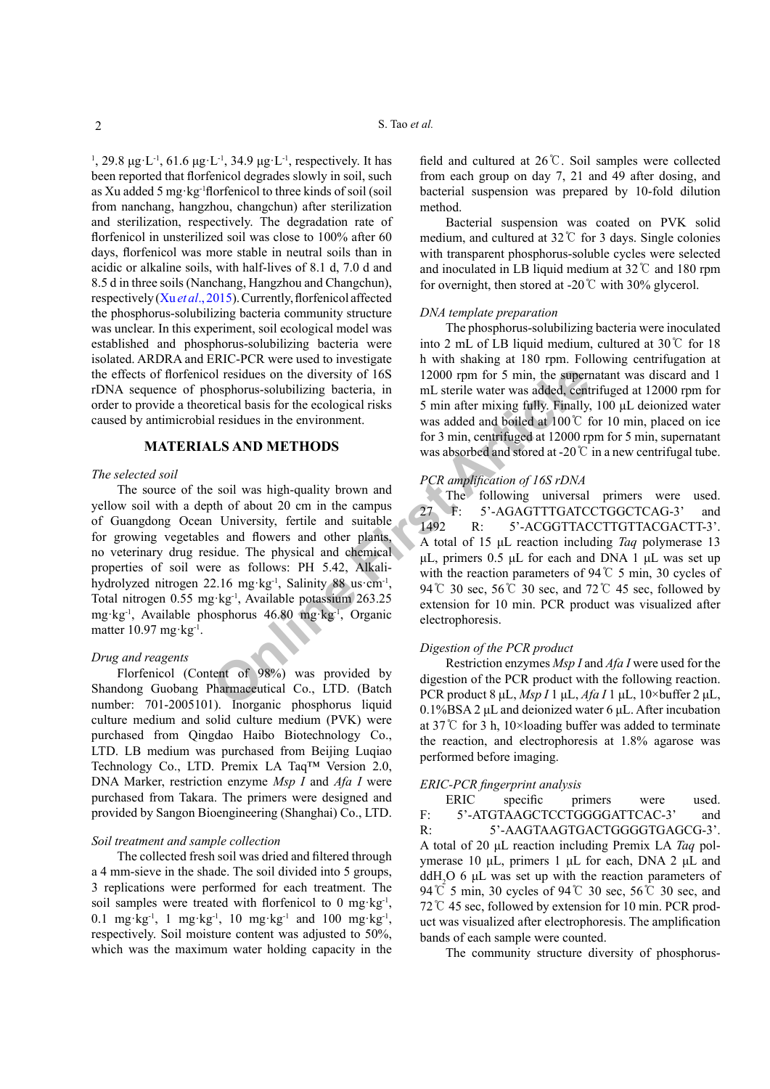<sup>1</sup>, 29.8 μg·L<sup>-1</sup>, 61.6 μg·L<sup>-1</sup>, 34.9 μg·L<sup>-1</sup>, respectively. It has been reported that florfenicol degrades slowly in soil, such as Xu added 5 mg·kg-1florfenicol to three kinds of soil (soil from nanchang, hangzhou, changchun) after sterilization and sterilization, respectively. The degradation rate of florfenicol in unsterilized soil was close to 100% after 60 days, florfenicol was more stable in neutral soils than in acidic or alkaline soils, with half-lives of 8.1 d, 7.0 d and 8.5 d in three soils (Nanchang, Hangzhou and Changchun), respectively (Xu *et al*[., 2015\)](#page-4-7). Currently, florfenicol affected the phosphorus-solubilizing bacteria community structure was unclear. In this experiment, soil ecological model was established and phosphorus-solubilizing bacteria were isolated. ARDRA and ERIC-PCR were used to investigate the effects of florfenicol residues on the diversity of 16S rDNA sequence of phosphorus-solubilizing bacteria, in order to provide a theoretical basis for the ecological risks caused by antimicrobial residues in the environment.

### **MATERIALS AND METHODS**

#### *The selected soil*

For a method in the diversity of 168<br>
One part of 5 min, the supernosphorus-solubilizing bacteria, in<br>
The sterice water was added, centricial basis for the ecological risks<br>  $\frac{1}{2}$  are the existence of the existence o The source of the soil was high-quality brown and yellow soil with a depth of about 20 cm in the campus of Guangdong Ocean University, fertile and suitable for growing vegetables and flowers and other plants, no veterinary drug residue. The physical and chemical properties of soil were as follows: PH 5.42, Alkalihydrolyzed nitrogen 22.16 mg·kg-1, Salinity 88 us·cm-1, Total nitrogen 0.55 mg kg<sup>-1</sup>, Available potassium 263.25 mg·kg-1, Available phosphorus 46.80 mg·kg-1, Organic matter 10.97 mg·kg<sup>-1</sup>.

## *Drug and reagents*

Florfenicol (Content of 98%) was provided by Shandong Guobang Pharmaceutical Co., LTD. (Batch number: 701-2005101). Inorganic phosphorus liquid culture medium and solid culture medium (PVK) were purchased from Qingdao Haibo Biotechnology Co., LTD. LB medium was purchased from Beijing Luqiao Technology Co., LTD. Premix LA Taq™ Version 2.0, DNA Marker, restriction enzyme *Msp I* and *Afa I* were purchased from Takara. The primers were designed and provided by Sangon Bioengineering (Shanghai) Co., LTD.

#### *Soil treatment and sample collection*

The collected fresh soil was dried and filtered through a 4 mm-sieve in the shade. The soil divided into 5 groups, 3 replications were performed for each treatment. The soil samples were treated with florfenicol to 0 mg·kg<sup>-1</sup>, 0.1 mg·kg<sup>-1</sup>, 1 mg·kg<sup>-1</sup>, 10 mg·kg<sup>-1</sup> and 100 mg·kg<sup>-1</sup>, respectively. Soil moisture content was adjusted to 50%, which was the maximum water holding capacity in the

field and cultured at 26℃. Soil samples were collected from each group on day 7, 21 and 49 after dosing, and bacterial suspension was prepared by 10-fold dilution method.

Bacterial suspension was coated on PVK solid medium, and cultured at 32℃ for 3 days. Single colonies with transparent phosphorus-soluble cycles were selected and inoculated in LB liquid medium at 32℃ and 180 rpm for overnight, then stored at -20 $\degree$ C with 30% glycerol.

#### *DNA template preparation*

The phosphorus-solubilizing bacteria were inoculated into 2 mL of LB liquid medium, cultured at 30℃ for 18 h with shaking at 180 rpm. Following centrifugation at 12000 rpm for 5 min, the supernatant was discard and 1 mL sterile water was added, centrifuged at 12000 rpm for 5 min after mixing fully. Finally, 100 μL deionized water was added and boiled at 100℃ for 10 min, placed on ice for 3 min, centrifuged at 12000 rpm for 5 min, supernatant was absorbed and stored at -20℃ in a new centrifugal tube.

#### *PCR amplification of 16S rDNA*

The following universal primers were used. 27 F: 5'-AGAGTTTGATCCTGGCTCAG-3' and 1492 R: 5'-ACGGTTACCTTGTTACGACTT-3'. A total of 15 μL reaction including *Taq* polymerase 13 μL, primers 0.5 μL for each and DNA 1 μL was set up with the reaction parameters of 94℃ 5 min, 30 cycles of 94 °C 30 sec, 56 °C 30 sec, and 72 °C 45 sec, followed by extension for 10 min. PCR product was visualized after electrophoresis.

#### *Digestion of the PCR product*

Restriction enzymes *Msp I* and *Afa I* were used for the digestion of the PCR product with the following reaction. PCR product 8 μL, *Msp I* 1 μL, *Afa I* 1 μL, 10×buffer 2 μL, 0.1%BSA 2 μL and deionized water 6 μL. After incubation at 37℃ for 3 h, 10×loading buffer was added to terminate the reaction, and electrophoresis at 1.8% agarose was performed before imaging.

## *ERIC-PCR fingerprint analysis*

ERIC specific primers were used. F: 5'-ATGTAAGCTCCTGGGGATTCAC-3' and R: 5'-AAGTAAGTGACTGGGGTGAGCG-3'. A total of 20 μL reaction including Premix LA *Taq* polymerase 10 μL, primers 1 μL for each, DNA 2 μL and  $ddH<sub>2</sub>O$  6 μL was set up with the reaction parameters of 94℃ 5 min, 30 cycles of 94℃ 30 sec, 56℃ 30 sec, and 72℃ 45 sec, followed by extension for 10 min. PCR product was visualized after electrophoresis. The amplification bands of each sample were counted.

The community structure diversity of phosphorus-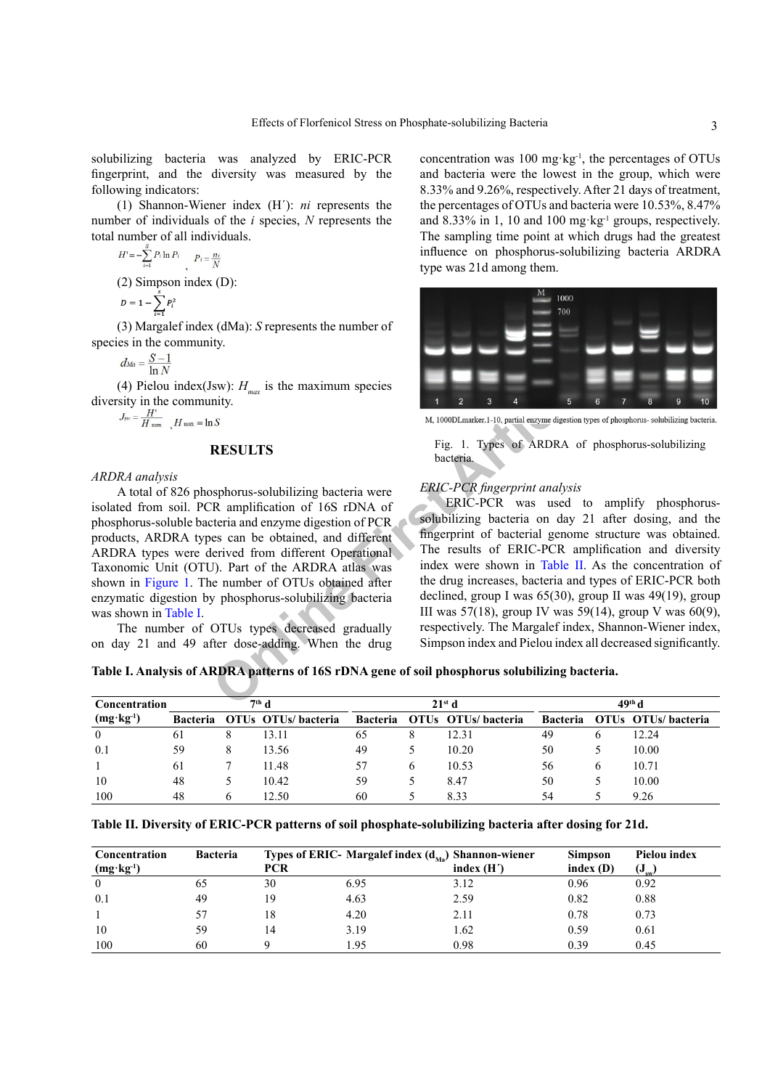solubilizing bacteria was analyzed by ERIC-PCR fingerprint, and the diversity was measured by the following indicators:

(1) Shannon-Wiener index (H´): *ni* represents the number of individuals of the *i* species, *N* represents the total number of all individuals.

$$
H = -\sum_{i=1}^{N} P_i \ln P_i, \quad P_i = \frac{n_i}{N}
$$
  
(2) Simpson index (D):

 $P = 1 - \sum_{n=1}^{3} P^2$ 

$$
D=1-\sum_{i=1}^{n}P_i
$$

(3) Margalef index (dMa): *S* represents the number of species in the community.

$$
d_{Ma}=\frac{S-1}{\ln N}
$$

(4) Pielou index(Jsw):  $H_{max}$  is the maximum species diversity in the community.

$$
J_{\rm sw} = \frac{H'}{H_{\rm max}} \quad , H_{\rm max} = \ln S
$$

## **RESULTS**

*ARDRA analysis*

A total of 826 phosphorus-solubilizing bacteria were isolated from soil. PCR amplification of 16S rDNA of phosphorus-soluble bacteria and enzyme digestion of PCR products, ARDRA types can be obtained, and different ARDRA types were derived from different Operational Taxonomic Unit (OTU). Part of the ARDRA atlas was shown in [Figure 1.](#page-2-0) The number of OTUs obtained after enzymatic digestion by phosphorus-solubilizing bacteria was shown in [Table I](#page-2-1).

The number of OTUs types decreased gradually on day 21 and 49 after dose-adding. When the drug concentration was 100 mg·kg-1, the percentages of OTUs and bacteria were the lowest in the group, which were 8.33% and 9.26%, respectively. After 21 days of treatment, the percentages of OTUs and bacteria were 10.53%, 8.47% and  $8.33\%$  in 1, 10 and 100 mg·kg<sup>-1</sup> groups, respectively. The sampling time point at which drugs had the greatest influence on phosphorus-solubilizing bacteria ARDRA type was 21d among them.



<span id="page-2-0"></span>Fig. 1. Types of ARDRA of phosphorus-solubilizing bacteria.

## *ERIC-PCR fingerprint analysis*

**Online First Article** ERIC-PCR was used to amplify phosphorussolubilizing bacteria on day 21 after dosing, and the fingerprint of bacterial genome structure was obtained. The results of ERIC-PCR amplification and diversity index were shown in Table II. As the concentration of the drug increases, bacteria and types of ERIC-PCR both declined, group I was 65(30), group II was 49(19), group III was 57(18), group IV was 59(14), group V was 60(9), respectively. The Margalef index, Shannon-Wiener index, Simpson index and Pielou index all decreased significantly.

<span id="page-2-1"></span>**Table I. Analysis of ARDRA patterns of 16S rDNA gene of soil phosphorus solubilizing bacteria.**

| Concentration        | $7th$ d         |              |                    | 21 <sup>st</sup> d |   |                             | 49 <sup>th</sup> d |   |                    |
|----------------------|-----------------|--------------|--------------------|--------------------|---|-----------------------------|--------------------|---|--------------------|
| $(mg \cdot kg^{-1})$ | <b>Bacteria</b> |              | OTUs OTUs/bacteria |                    |   | Bacteria OTUs OTUs/bacteria | <b>Bacteria</b>    |   | OTUs OTUs/bacteria |
| $\overline{0}$       | 61              | 8            | 13.11              | 65                 |   | 12.31                       | -49                |   | 12.24              |
| 0.1                  | 59              | 8            | 13.56              | 49                 |   | 10.20                       | 50                 |   | 10.00              |
|                      | 61              |              | 11.48              | 57                 | 6 | 10.53                       | 56                 | b | 10.71              |
| 10                   | 48              |              | 10.42              | 59                 |   | 8.47                        | 50                 |   | 10.00              |
| 100                  | 48              | <sub>0</sub> | 12.50              | 60                 |   | 8.33                        | 54                 |   | 9.26               |

<span id="page-2-2"></span>**Table II. Diversity of ERIC-PCR patterns of soil phosphate-solubilizing bacteria after dosing for 21d.**

| Concentration<br>$(mg \cdot kg^{-1})$ | <b>Bacteria</b> | PCR | Types of ERIC- Margalef index $(d_{M_3})$ Shannon-wiener | index $(H')$ | <b>Simpson</b><br>index(D) | Pielou index<br>$\mathbf{U}_{\mathrm{sw}}$ |
|---------------------------------------|-----------------|-----|----------------------------------------------------------|--------------|----------------------------|--------------------------------------------|
| $\Omega$                              | 65              | 30  | 6.95                                                     | 3.12         | 0.96                       | 0.92                                       |
| 0.1                                   | 49              | 19  | 4.63                                                     | 2.59         | 0.82                       | 0.88                                       |
|                                       | 57              | 18  | 4.20                                                     | 2.11         | 0.78                       | 0.73                                       |
| 10                                    | 59              | 14  | 3.19                                                     | 1.62         | 0.59                       | 0.61                                       |
| 100                                   | 60              |     | .95                                                      | 0.98         | 0.39                       | 0.45                                       |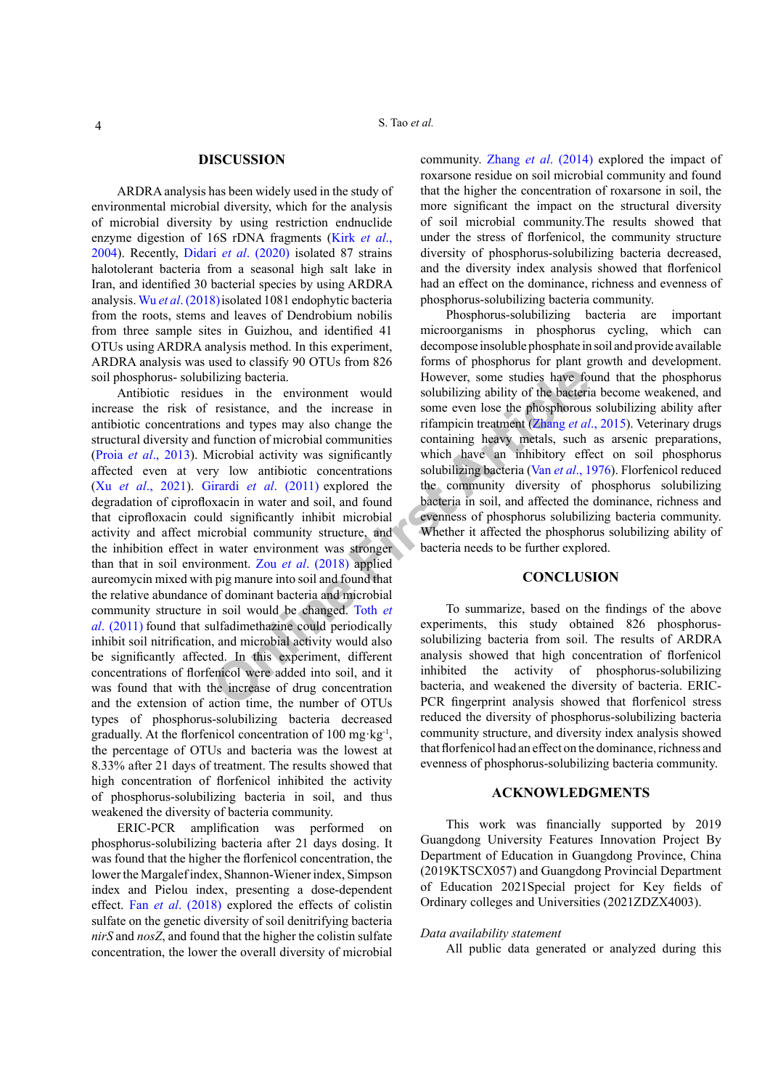#### **DISCUSSION**

ARDRA analysis has been widely used in the study of environmental microbial diversity, which for the analysis of microbial diversity by using restriction endnuclide enzyme digestion of 16S rDNA fragments [\(Kirk](#page-4-8) *et al*., [2004\)](#page-4-8). Recently, Didari *et al*[. \(2020\)](#page-4-9) isolated 87 strains halotolerant bacteria from a seasonal high salt lake in Iran, and identified 30 bacterial species by using ARDRA analysis. Wu *et al*[. \(2018\)](#page-4-10)isolated 1081 endophytic bacteria from the roots, stems and leaves of Dendrobium nobilis from three sample sites in Guizhou, and identified 41 OTUs using ARDRA analysis method. In this experiment, ARDRA analysis was used to classify 90 OTUs from 826 soil phosphorus- solubilizing bacteria.

**Exampl[e](#page-4-13) 1.1** The metr[ic](#page-5-0)al conduction of microscopy of the term and types may also change the solubilizing ability of the bacterinesistance, and the increase in some even lose the phosphorous ins and types may also change Antibiotic residues in the environment would increase the risk of resistance, and the increase in antibiotic concentrations and types may also change the structural diversity and function of microbial communities (Proia *et al*[., 2013](#page-4-11)). Microbial activity was significantly affected even at very low antibiotic concentrations (Xu *et al*[., 2021](#page-4-12)). Girardi *et al*. (2011) explored the degradation of ciprofloxacin in water and soil, and found that ciprofloxacin could significantly inhibit microbial activity and affect microbial community structure, and the inhibition effect in water environment was stronger than that in soil environment. Zou *et al*. (2018) applied aureomycin mixed with pig manure into soil and found that the relative abundance of dominant bacteria and microbial community structure in soil would be changed. Toth *et al*[. \(2011\)](#page-4-13) found that sulfadimethazine could periodically inhibit soil nitrification, and microbial activity would also be significantly affected. In this experiment, different concentrations of florfenicol were added into soil, and it was found that with the increase of drug concentration and the extension of action time, the number of OTUs types of phosphorus-solubilizing bacteria decreased gradually. At the florfenicol concentration of 100 mg·kg-1, the percentage of OTUs and bacteria was the lowest at 8.33% after 21 days of treatment. The results showed that high concentration of florfenicol inhibited the activity of phosphorus-solubilizing bacteria in soil, and thus weakened the diversity of bacteria community.

ERIC-PCR amplification was performed on phosphorus-solubilizing bacteria after 21 days dosing. It was found that the higher the florfenicol concentration, the lower the Margalef index, Shannon-Wiener index, Simpson index and Pielou index, presenting a dose-dependent effect. Fan *et al*[. \(2018\)](#page-4-14) explored the effects of colistin sulfate on the genetic diversity of soil denitrifying bacteria *nirS* and *nosZ*, and found that the higher the colistin sulfate concentration, the lower the overall diversity of microbial community. Zhang *et al*[. \(2014\)](#page-4-15) explored the impact of roxarsone residue on soil microbial community and found that the higher the concentration of roxarsone in soil, the more significant the impact on the structural diversity of soil microbial community.The results showed that under the stress of florfenicol, the community structure diversity of phosphorus-solubilizing bacteria decreased, and the diversity index analysis showed that florfenicol had an effect on the dominance, richness and evenness of phosphorus-solubilizing bacteria community.

Phosphorus-solubilizing bacteria are important microorganisms in phosphorus cycling, which can decompose insoluble phosphate in soil and provide available forms of phosphorus for plant growth and development. However, some studies have found that the phosphorus solubilizing ability of the bacteria become weakened, and some even lose the phosphorous solubilizing ability after rifampicin treatment (Zhang *et al*., 2015). Veterinary drugs containing heavy metals, such as arsenic preparations, which have an inhibitory effect on soil phosphorus solubilizing bacteria (Van *et al*., 1976). Florfenicol reduced the community diversity of phosphorus solubilizing bacteria in soil, and affected the dominance, richness and evenness of phosphorus solubilizing bacteria community. Whether it affected the phosphorus solubilizing ability of bacteria needs to be further explored.

## **CONCLUSION**

To summarize, based on the findings of the above experiments, this study obtained 826 phosphorussolubilizing bacteria from soil. The results of ARDRA analysis showed that high concentration of florfenicol inhibited the activity of phosphorus-solubilizing bacteria, and weakened the diversity of bacteria. ERIC-PCR fingerprint analysis showed that florfenicol stress reduced the diversity of phosphorus-solubilizing bacteria community structure, and diversity index analysis showed that florfenicol had an effect on the dominance, richness and evenness of phosphorus-solubilizing bacteria community.

## **ACKNOWLEDGMENTS**

This work was financially supported by 2019 Guangdong University Features Innovation Project By Department of Education in Guangdong Province, China (2019KTSCX057) and Guangdong Provincial Department of Education 2021Special project for Key fields of Ordinary colleges and Universities (2021ZDZX4003).

#### *Data availability statement*

All public data generated or analyzed during this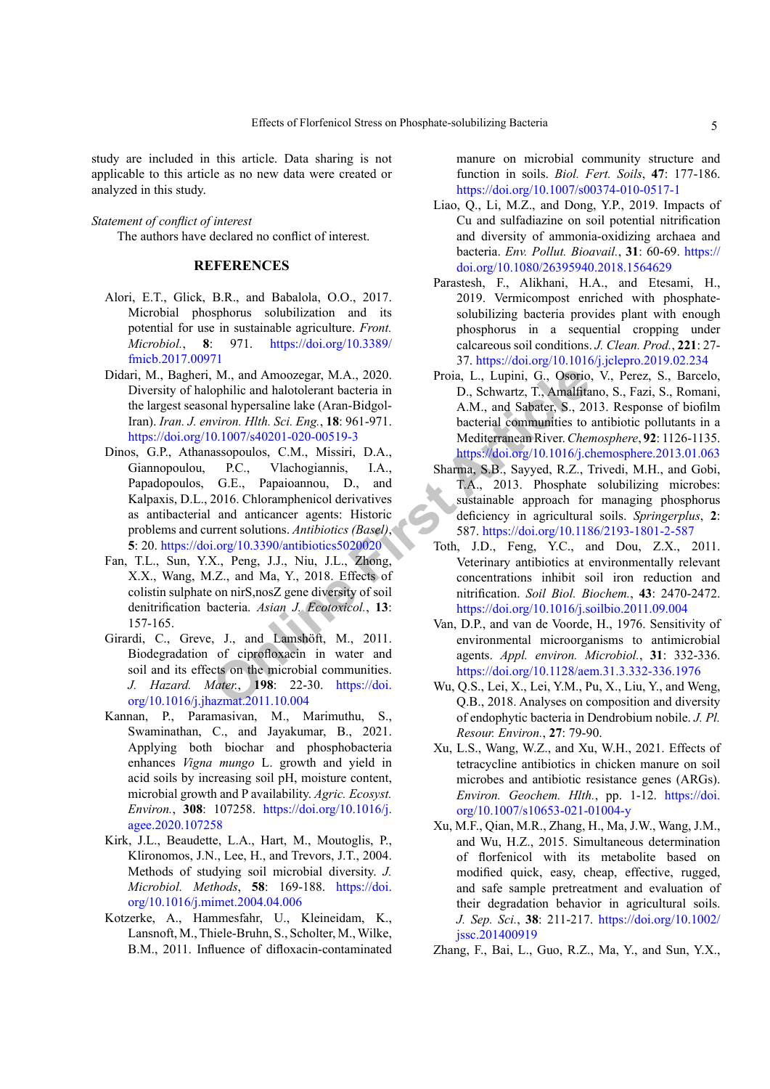study are included in this article. Data sharing is not applicable to this article as no new data were created or analyzed in this study.

#### *Statement of conflict of interest*

The authors have declared no conflict of interest.

## **REFERENCES**

- <span id="page-4-0"></span>Alori, E.T., Glick, B.R., and Babalola, O.O., 2017. Microbial phosphorus solubilization and its potential for use in sustainable agriculture. *Front. Microbiol.*, **8**: 971. [https://doi.org/10.3389/](https://doi.org/10.3389/fmicb.2017.00971) [fmicb.2017.00971](https://doi.org/10.3389/fmicb.2017.00971)
- <span id="page-4-6"></span>Didari, M., Bagheri, M., and Amoozegar, M.A., 2020. Diversity of halophilic and halotolerant bacteria in the largest seasonal hypersaline lake (Aran-Bidgol-Iran). *Iran. J. environ. Hlth. Sci. Eng.*, **18**: 961-971. <https://doi.org/10.1007/s40201-020-00519-3>
- <span id="page-4-9"></span>M., and Amoozegar, M.A., 2020. Proia, L., Lupini, G., Osorio.<br>
ophilic and halotolerant bacteria in D., Schwartz, T., Amalfita<br>
mal hypersaine lake (Aran-Bidgol-1971. bacterial communities to<br>  $0.1007/540201-020-00519-3$  M Dinos, G.P., Athanassopoulos, C.M., Missiri, D.A., Giannopoulou, P.C., Vlachogiannis, I.A., Papadopoulos, G.E., Papaioannou, D., and Kalpaxis, D.L., 2016. Chloramphenicol derivatives as antibacterial and anticancer agents: Historic problems and current solutions. *Antibiotics (Basel)*, **5**: 20. https://doi.org/10.3390/antibiotics5020020
- <span id="page-4-14"></span>Fan, T.L., Sun, Y.X., Peng, J.J., Niu, J.L., Zhong, X.X., Wang, M.Z., and Ma, Y., 2018. Effects of colistin sulphate on nirS,nosZ gene diversity of soil denitrification bacteria. *Asian J. Ecotoxicol.*, **13**: 157-165.
- Girardi, C., Greve, J., and Lamshöft, M., 2011. Biodegradation of ciprofloxacin in water and soil and its effects on the microbial communities. *J. Hazard. Mater.*, **198**: 22-30. https://doi. [org/10.1016/j.jhazmat.2011.10.004](https://doi.org/10.1016/j.jhazmat.2011.10.004)
- <span id="page-4-1"></span>Kannan, P., Paramasivan, M., Marimuthu, S., Swaminathan, C., and Jayakumar, B., 2021. Applying both biochar and phosphobacteria enhances *Vigna mungo* L. growth and yield in acid soils by increasing soil pH, moisture content, microbial growth and P availability. *Agric. Ecosyst. Environ.*, **308**: 107258. [https://doi.org/10.1016/j.](https://doi.org/10.1016/j.agee.2020.107258) [agee.2020.107258](https://doi.org/10.1016/j.agee.2020.107258)
- <span id="page-4-8"></span>Kirk, J.L., Beaudette, L.A., Hart, M., Moutoglis, P., Klironomos, J.N., Lee, H., and Trevors, J.T., 2004. Methods of studying soil microbial diversity. *J. Microbiol. Methods*, **58**: 169-188. [https://doi.](https://doi.org/10.1016/j.mimet.2004.04.006) [org/10.1016/j.mimet.2004.04.006](https://doi.org/10.1016/j.mimet.2004.04.006)
- <span id="page-4-3"></span>Kotzerke, A., Hammesfahr, U., Kleineidam, K., Lansnoft, M., Thiele-Bruhn, S., Scholter, M., Wilke, B.M., 2011. Influence of difloxacin-contaminated

manure on microbial community structure and function in soils. *Biol. Fert. Soils*, **47**: 177-186. <https://doi.org/10.1007/s00374-010-0517-1>

- <span id="page-4-4"></span>Liao, Q., Li, M.Z., and Dong, Y.P., 2019. Impacts of Cu and sulfadiazine on soil potential nitrification and diversity of ammonia-oxidizing archaea and bacteria. *Env. Pollut. Bioavail.*, **31**: 60-69. [https://](https://doi.org/10.1080/26395940.2018.1564629) [doi.org/10.1080/26395940.2018.1564629](https://doi.org/10.1080/26395940.2018.1564629)
- <span id="page-4-5"></span>Parastesh, F., Alikhani, H.A., and Etesami, H., 2019. Vermicompost enriched with phosphatesolubilizing bacteria provides plant with enough phosphorus in a sequential cropping under calcareous soil conditions. *J. Clean. Prod.*, **221**: 27- 37.<https://doi.org/10.1016/j.jclepro.2019.02.234>
- <span id="page-4-11"></span>Proia, L., Lupini, G., Osorio, V., Perez, S., Barcelo, D., Schwartz, T., Amalfitano, S., Fazi, S., Romani, A.M., and Sabater, S., 2013. Response of biofilm bacterial communities to antibiotic pollutants in a Mediterranean River. *Chemosphere*, **92**: 1126-1135. <https://doi.org/10.1016/j.chemosphere.2013.01.063>
- <span id="page-4-2"></span>Sharma, S.B., Sayyed, R.Z., Trivedi, M.H., and Gobi, T.A., 2013. Phosphate solubilizing microbes: sustainable approach for managing phosphorus deficiency in agricultural soils. *Springerplus*, **2**: 587.<https://doi.org/10.1186/2193-1801-2-587>
- <span id="page-4-13"></span>Toth, J.D., Feng, Y.C., and Dou, Z.X., 2011. Veterinary antibiotics at environmentally relevant concentrations inhibit soil iron reduction and nitrification. *Soil Biol. Biochem.*, **43**: 2470-2472. <https://doi.org/10.1016/j.soilbio.2011.09.004>
- <span id="page-4-16"></span>Van, D.P., and van de Voorde, H., 1976. Sensitivity of environmental microorganisms to antimicrobial agents. *Appl. environ. Microbiol.*, **31**: 332-336. <https://doi.org/10.1128/aem.31.3.332-336.1976>
- <span id="page-4-10"></span>Wu, Q.S., Lei, X., Lei, Y.M., Pu, X., Liu, Y., and Weng, Q.B., 2018. Analyses on composition and diversity of endophytic bacteria in Dendrobium nobile. *J. Pl. Resour. Environ.*, **27**: 79-90.
- <span id="page-4-12"></span>Xu, L.S., Wang, W.Z., and Xu, W.H., 2021. Effects of tetracycline antibiotics in chicken manure on soil microbes and antibiotic resistance genes (ARGs). *Environ. Geochem. Hlth.*, pp. 1-12. [https://doi.](https://doi.org/10.1007/s10653-021-01004-y) [org/10.1007/s10653-021-01004-y](https://doi.org/10.1007/s10653-021-01004-y)
- <span id="page-4-7"></span>Xu, M.F., Qian, M.R., Zhang, H., Ma, J.W., Wang, J.M., and Wu, H.Z., 2015. Simultaneous determination of florfenicol with its metabolite based on modified quick, easy, cheap, effective, rugged, and safe sample pretreatment and evaluation of their degradation behavior in agricultural soils. *J. Sep. Sci.*, **38**: 211-217. [https://doi.org/10.1002/](https://doi.org/10.1002/jssc.201400919) [jssc.201400919](https://doi.org/10.1002/jssc.201400919)
- <span id="page-4-15"></span>Zhang, F., Bai, L., Guo, R.Z., Ma, Y., and Sun, Y.X.,